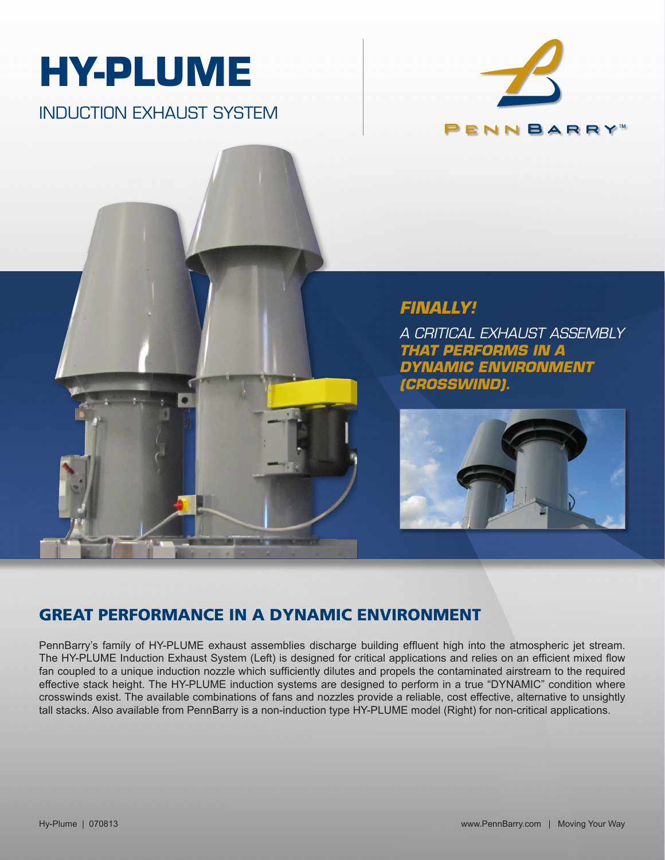

INDUCTION EXHAUST SYSTEM





## *FINALLY!*

*A CRITICAL EXHAUST ASSEMBLY THAT PERFORMS IN A DYNAMIC ENVIRONMENT (CROSSWIND).*



## GREAT PERFORMANCE IN A DYNAMIC ENVIRONMENT

PennBarry's family of HY-PLUME exhaust assemblies discharge building effluent high into the atmospheric jet stream. The HY-PLUME Induction Exhaust System (Left) is designed for critical applications and relies on an efficient mixed flow fan coupled to a unique induction nozzle which sufficiently dilutes and propels the contaminated airstream to the required effective stack height. The HY-PLUME induction systems are designed to perform in a true "DYNAMIC" condition where crosswinds exist. The available combinations of fans and nozzles provide a reliable, cost effective, alternative to unsightly tall stacks. Also available from PennBarry is a non-induction type HY-PLUME model (Right) for non-critical applications.